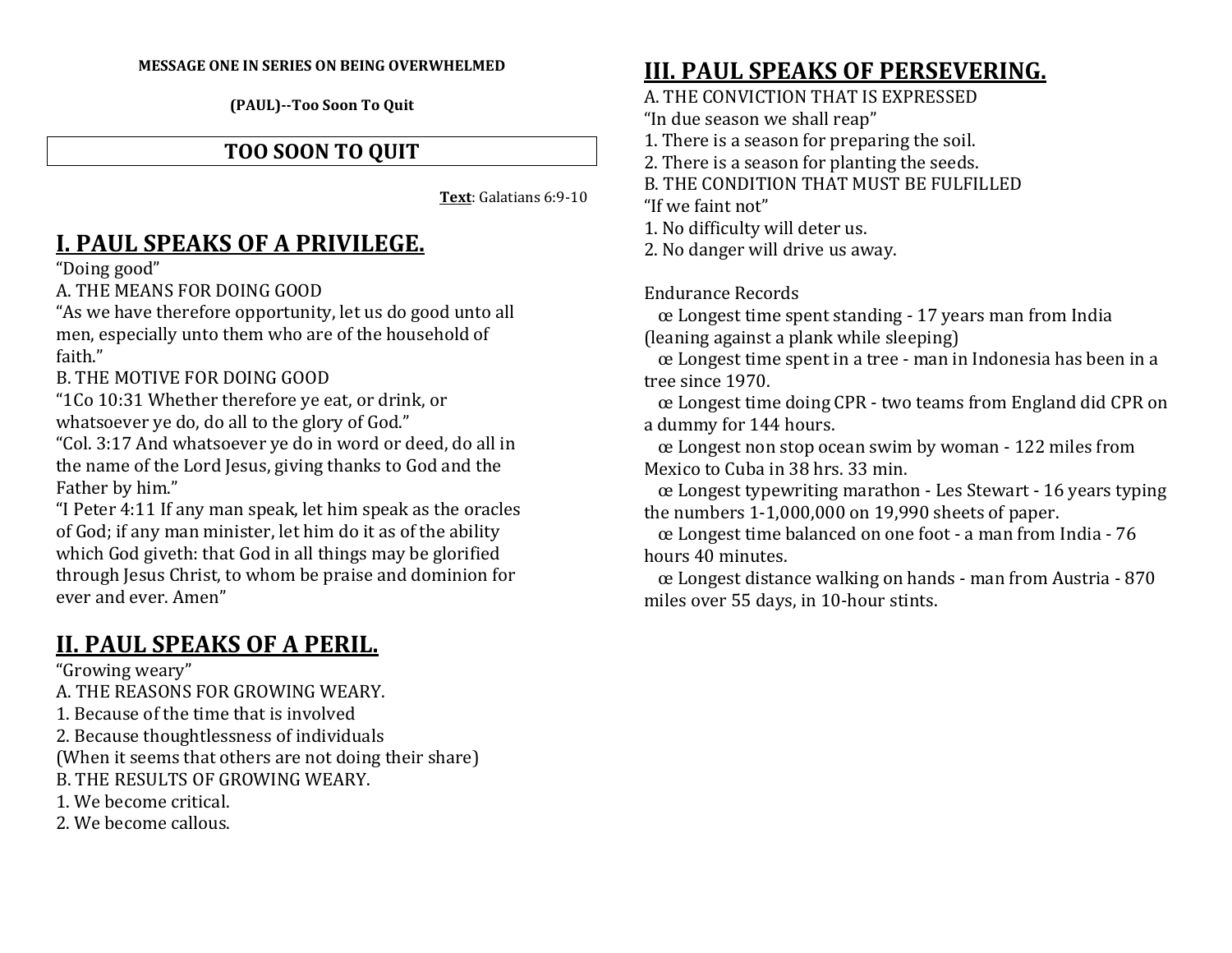#### **MESSAGE ONE IN SERIES ON BEING OVERWHELMED**

**(PAUL)--Too Soon To Quit**

### **TOO SOON TO QUIT**

**Text**: Galatians 6:9-10

## **I. PAUL SPEAKS OF A PRIVILEGE.**

"Doing good"

A. THE MEANS FOR DOING GOOD

 "As we have therefore opportunity, let us do good unto all men, especially unto them who are of the household of faith."

B. THE MOTIVE FOR DOING GOOD

 "1Co 10:31 Whether therefore ye eat, or drink, or whatsoever ye do, do all to the glory of God."

 "Col. 3:17 And whatsoever ye do in word or deed, do all in the name of the Lord Jesus, giving thanks to God and the Father by him."

"I Peter 4:11 If any man speak, let him speak as the oracles of God; if any man minister, let him do it as of the ability which God giveth: that God in all things may be glorified through Jesus Christ, to whom be praise and dominion for ever and ever. Amen"

# **II. PAUL SPEAKS OF A PERIL.**

"Growing weary"

- A. THE REASONS FOR GROWING WEARY.
- 1. Because of the time that is involved
- 2. Because thoughtlessness of individuals
- (When it seems that others are not doing their share)
- B. THE RESULTS OF GROWING WEARY.
- 1. We become critical.
- 2. We become callous.

## **III. PAUL SPEAKS OF PERSEVERING.**

A. THE CONVICTION THAT IS EXPRESSED

"In due season we shall reap"

- 1. There is a season for preparing the soil.
- 2. There is a season for planting the seeds.

B. THE CONDITION THAT MUST BE FULFILLED

"If we faint not"

1. No difficulty will deter us.

2. No danger will drive us away.

Endurance Records

œ Longest time spent standing - 17 years man from India (leaning against a plank while sleeping)

 œ Longest time spent in a tree - man in Indonesia has been in a tree since 1970.

œ Longest time doing CPR - two teams from England did CPR on a dummy for 144 hours.

œ Longest non stop ocean swim by woman - 122 miles from Mexico to Cuba in 38 hrs. 33 min.

œ Longest typewriting marathon - Les Stewart - 16 years typing the numbers 1-1,000,000 on 19,990 sheets of paper.

 œ Longest time balanced on one foot - a man from India - 76 hours 40 minutes.

œ Longest distance walking on hands - man from Austria - 870 miles over 55 days, in 10-hour stints.